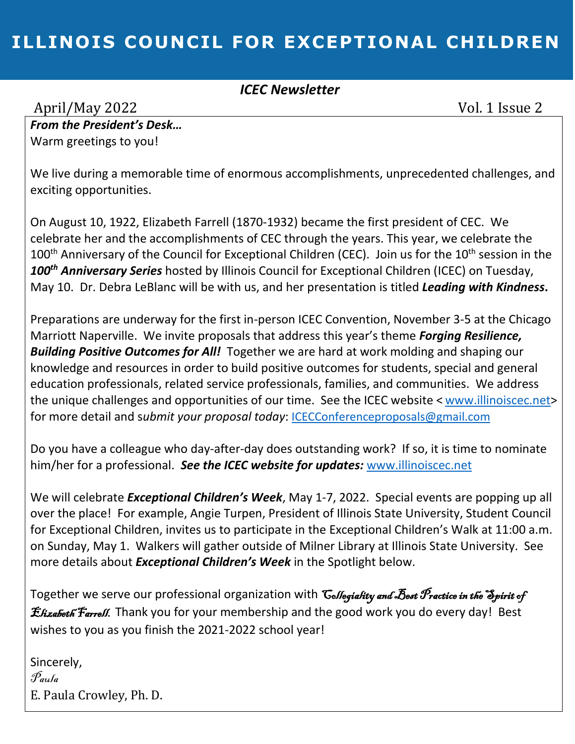## **ILLINOIS COUNCIL FOR EXCEPTIONAL CHILDREN**

### *ICEC Newsletter*

April/May 2022 Vol. 1 Issue 2

*From the President's Desk…* Warm greetings to you!

We live during a memorable time of enormous accomplishments, unprecedented challenges, and exciting opportunities.

On August 10, 1922, Elizabeth Farrell (1870-1932) became the first president of CEC. We celebrate her and the accomplishments of CEC through the years. This year, we celebrate the 100<sup>th</sup> Anniversary of the Council for Exceptional Children (CEC). Join us for the 10<sup>th</sup> session in the *100th Anniversary Series* hosted by Illinois Council for Exceptional Children (ICEC) on Tuesday, May 10. Dr. Debra LeBlanc will be with us, and her presentation is titled *Leading with Kindness***.**

Preparations are underway for the first in-person ICEC Convention, November 3-5 at the Chicago Marriott Naperville. We invite proposals that address this year's theme *Forging Resilience, Building Positive Outcomes for All!* Together we are hard at work molding and shaping our knowledge and resources in order to build positive outcomes for students, special and general education professionals, related service professionals, families, and communities. We address the unique challenges and opportunities of our time. See the ICEC website < [www.illinoiscec.net>](http://www.illinoiscec.net/) for more detail and s*ubmit your proposal today*: [ICECConferenceproposals@gmail.com](mailto:ICECConferenceproposals@gmail.com)

Do you have a colleague who day-after-day does outstanding work? If so, it is time to nominate him/her for a professional. *See the ICEC website for updates:* [www.illinoiscec.net](http://www.illinoiscec.net/)

We will celebrate *Exceptional Children's Week*, May 1-7, 2022. Special events are popping up all over the place! For example, Angie Turpen, President of Illinois State University, Student Council for Exceptional Children, invites us to participate in the Exceptional Children's Walk at 11:00 a.m. on Sunday, May 1. Walkers will gather outside of Milner Library at Illinois State University. See more details about *Exceptional Children's Week* in the Spotlight below.

Together we serve our professional organization with *Collegiality and Best Practice in the Spirit of* Estizabeth Farrell. Thank you for your membership and the good work you do every day! Best wishes to you as you finish the 2021-2022 school year!

Sincerely, Paula E. Paula Crowley, Ph. D.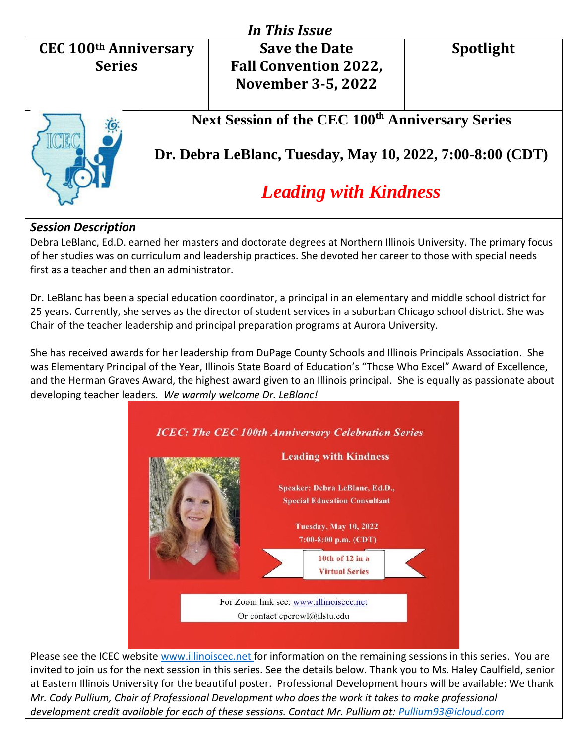## **CEC 100th Anniversary Series**

# *In This Issue*

## **Save the Date Fall Convention 2022, November 3-5, 2022**

**Spotlight**



## **Next Session of the CEC 100th Anniversary Series**

**Dr. Debra LeBlanc, Tuesday, May 10, 2022, 7:00-8:00 (CDT)**

## *Leading with Kindness*

### *Session Description*

Debra LeBlanc, Ed.D. earned her masters and doctorate degrees at Northern Illinois University. The primary focus of her studies was on curriculum and leadership practices. She devoted her career to those with special needs first as a teacher and then an administrator.

Dr. LeBlanc has been a special education coordinator, a principal in an elementary and middle school district for 25 years. Currently, she serves as the director of student services in a suburban Chicago school district. She was Chair of the teacher leadership and principal preparation programs at Aurora University.

She has received awards for her leadership from DuPage County Schools and Illinois Principals Association. She was Elementary Principal of the Year, Illinois State Board of Education's "Those Who Excel" Award of Excellence, and the Herman Graves Award, the highest award given to an Illinois principal. She is equally as passionate about developing teacher leaders. *We warmly welcome Dr. LeBlanc!*



Please see the ICEC website [www.illinoiscec.net](http://www.illinoiscec.net/) for information on the remaining sessions in this series. You are invited to join us for the next session in this series. See the details below. Thank you to Ms. Haley Caulfield, senior at Eastern Illinois University for the beautiful poster. Professional Development hours will be available: We thank *Mr. Cody Pullium, Chair of Professional Development who does the work it takes to make professional development credit available for each of these sessions. Contact Mr. Pullium at: [Pullium93@icloud.com](mailto:Pullium93@icloud.com)*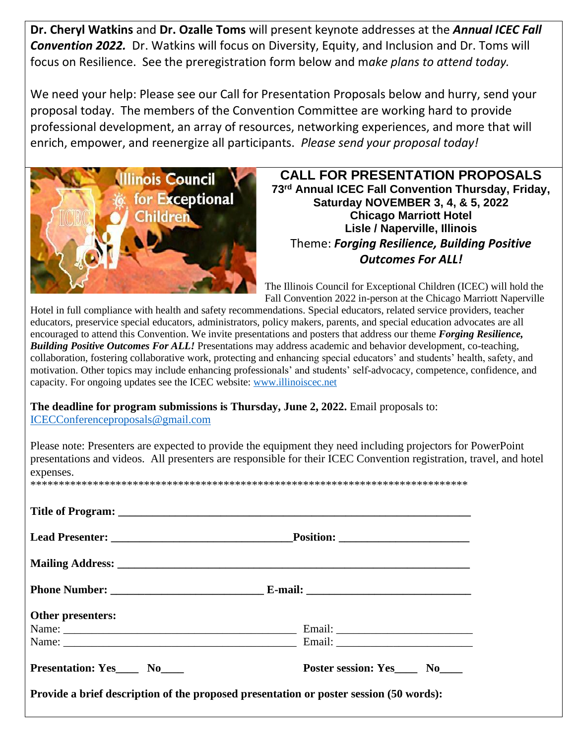**Dr. Cheryl Watkins** and **Dr. Ozalle Toms** will present keynote addresses at the *Annual ICEC Fall Convention 2022.* Dr. Watkins will focus on Diversity, Equity, and Inclusion and Dr. Toms will focus on Resilience. See the preregistration form below and m*ake plans to attend today.*

We need your help: Please see our Call for Presentation Proposals below and hurry, send your proposal today. The members of the Convention Committee are working hard to provide professional development, an array of resources, networking experiences, and more that will enrich, empower, and reenergize all participants. *Please send your proposal today!*



**CALL FOR PRESENTATION PROPOSALS 73rd Annual ICEC Fall Convention Thursday, Friday, Saturday NOVEMBER 3, 4, & 5, 2022 Chicago Marriott Hotel Lisle / Naperville, Illinois** Theme: *Forging Resilience, Building Positive Outcomes For ALL!*

The Illinois Council for Exceptional Children (ICEC) will hold the Fall Convention 2022 in-person at the Chicago Marriott Naperville

Hotel in full compliance with health and safety recommendations. Special educators, related service providers, teacher educators, preservice special educators, administrators, policy makers, parents, and special education advocates are all encouraged to attend this Convention. We invite presentations and posters that address our theme *Forging Resilience, Building Positive Outcomes For ALL!* Presentations may address academic and behavior development, co-teaching, collaboration, fostering collaborative work, protecting and enhancing special educators' and students' health, safety, and motivation. Other topics may include enhancing professionals' and students' self-advocacy, competence, confidence, and capacity. For ongoing updates see the ICEC website: [www.illinoiscec.net](http://www.illinoiscec.net/)

**The deadline for program submissions is Thursday, June 2, 2022.** Email proposals to: [ICECConferenceproposals@gmail.com](mailto:ICECConferenceproposals@gmail.com)

Please note: Presenters are expected to provide the equipment they need including projectors for PowerPoint presentations and videos. All presenters are responsible for their ICEC Convention registration, travel, and hotel expenses.

| $***$ |  |
|-------|--|
|       |  |

| Other presenters:    |                                                                                        |
|----------------------|----------------------------------------------------------------------------------------|
|                      |                                                                                        |
|                      |                                                                                        |
| Presentation: Yes No | Poster session: Yes No                                                                 |
|                      | Provide a brief description of the proposed presentation or poster session (50 words): |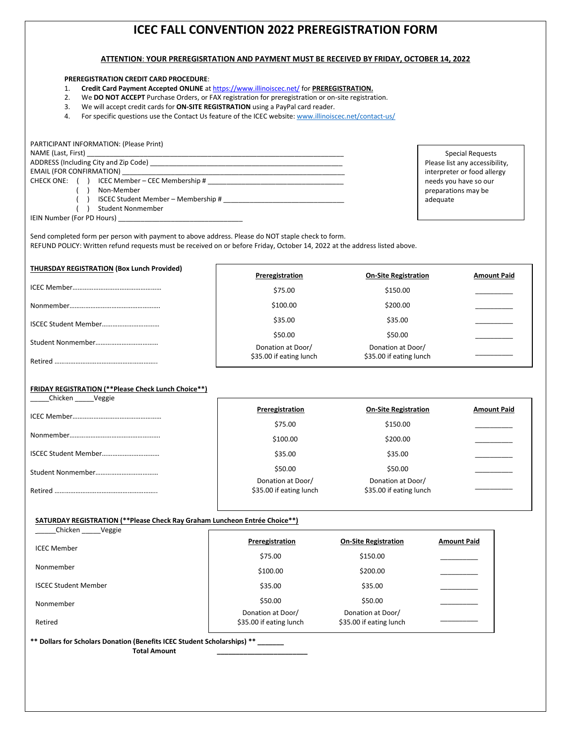### **ICEC FALL CONVENTION 2022 PREREGISTRATION FORM**

#### **ATTENTION**: **YOUR PREREGISRTATION AND PAYMENT MUST BE RECEIVED BY FRIDAY, OCTOBER 14, 2022**

#### **PREREGISTRATION CREDIT CARD PROCEDURE**:

- 1. **Credit Card Payment Accepted ONLINE** a[t https://www.illinoiscec.net/](https://www.illinoiscec.net/) for **PREREGISTRATION.**
- 2. We **DO NOT ACCEPT** Purchase Orders, or FAX registration for preregistration or on-site registration.
- 3. We will accept credit cards for **ON-SITE REGISTRATION** using a PayPal card reader.
- 4. For specific questions use the Contact Us feature of the ICEC website: [www.illinoiscec.net/contact-us/](http://www.illinoiscec.net/contact-us/)

#### PARTICIPANT INFORMATION: (Please Print) NAME (Last, First) ADDRESS (Including City and Zip Code) \_\_\_\_\_\_\_\_\_\_\_\_\_\_\_\_\_\_\_\_\_\_\_\_\_\_\_\_\_\_\_\_\_\_\_\_\_\_\_\_\_\_\_\_\_\_\_\_\_\_\_ EMAIL (FOR CONFIRMATION) CHECK ONE: ( ) ICEC Member – CEC Membership # \_\_\_\_\_\_\_\_\_\_\_\_\_\_\_\_\_\_\_\_\_\_\_\_\_\_\_\_\_\_\_\_\_\_ ( ) Non-Member ( ) ISCEC Student Member – Membership #

( ) Student Nonmember

IEIN Number (For PD Hours)

Special Requests Please list any accessibility, interpreter or food allergy needs you have so our preparations may be adequate

Send completed form per person with payment to above address. Please do NOT staple check to form. REFUND POLICY: Written refund requests must be received on or before Friday, October 14, 2022 at the address listed above.

| Preregistration                              | <b>On-Site Registration</b>                  | <b>Amount Paid</b> |
|----------------------------------------------|----------------------------------------------|--------------------|
| \$75.00                                      | \$150.00                                     |                    |
| \$100.00                                     | \$200.00                                     |                    |
| \$35.00                                      | \$35.00                                      |                    |
| \$50.00                                      | \$50.00                                      |                    |
| Donation at Door/<br>\$35.00 if eating lunch | Donation at Door/<br>\$35.00 if eating lunch |                    |
|                                              |                                              |                    |

#### **FRIDAY REGISTRATION (\*\*Please Check Lunch Choice\*\*)**

| Chicken<br>Veggie |                                              |                                              |                    |
|-------------------|----------------------------------------------|----------------------------------------------|--------------------|
|                   | Preregistration                              | <b>On-Site Registration</b>                  | <b>Amount Paid</b> |
|                   | \$75.00                                      | \$150.00                                     |                    |
|                   | \$100.00                                     | \$200.00                                     |                    |
|                   | \$35.00                                      | \$35.00                                      |                    |
|                   | \$50.00                                      | \$50.00                                      |                    |
|                   | Donation at Door/<br>\$35.00 if eating lunch | Donation at Door/<br>\$35.00 if eating lunch |                    |
|                   |                                              |                                              |                    |

#### **SATURDAY REGISTRATION (\*\*Please Check Ray Graham Luncheon Entrée Choice\*\*)**

| Chicken<br>Veggie           |                                              |                                              |                    |
|-----------------------------|----------------------------------------------|----------------------------------------------|--------------------|
| <b>ICEC Member</b>          | Preregistration                              | <b>On-Site Registration</b>                  | <b>Amount Paid</b> |
|                             | \$75.00                                      | \$150.00                                     |                    |
| Nonmember                   | \$100.00                                     | \$200.00                                     |                    |
| <b>ISCEC Student Member</b> | \$35.00                                      | \$35.00                                      |                    |
| Nonmember                   | \$50.00                                      | \$50.00                                      |                    |
| Retired                     | Donation at Door/<br>\$35.00 if eating lunch | Donation at Door/<br>\$35.00 if eating lunch |                    |

**\*\* Dollars for Scholars Donation (Benefits ICEC Student Scholarships) \*\* \_\_\_\_\_\_\_ Total Amount \_\_\_\_\_\_\_\_\_\_\_\_\_\_\_\_\_\_\_\_\_\_\_\_**